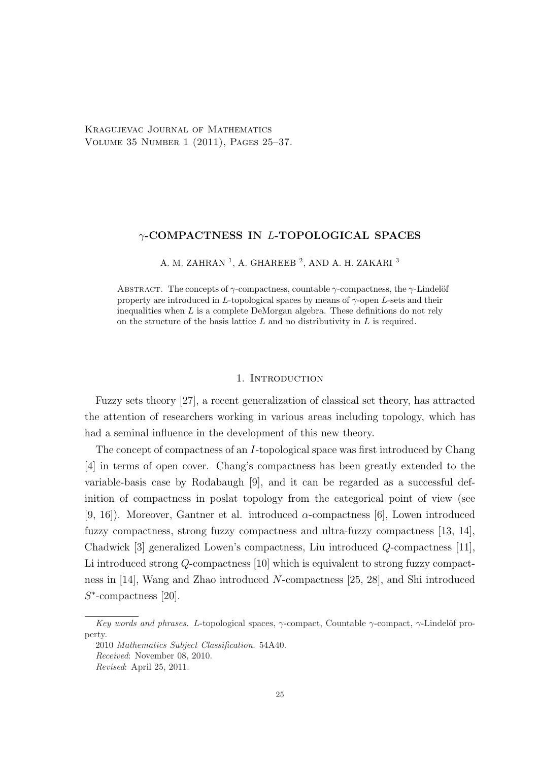Kragujevac Journal of Mathematics Volume 35 Number 1 (2011), Pages 25–37.

## γ-COMPACTNESS IN L-TOPOLOGICAL SPACES

A. M. ZAHRAN $^1$ , A. GHAREEB $^2$ , AND A. H. ZAKARI $^3$ 

ABSTRACT. The concepts of  $\gamma$ -compactness, countable  $\gamma$ -compactness, the  $\gamma$ -Lindelöf property are introduced in L-topological spaces by means of  $\gamma$ -open L-sets and their inequalities when  $L$  is a complete DeMorgan algebra. These definitions do not rely on the structure of the basis lattice  $L$  and no distributivity in  $L$  is required.

### 1. INTRODUCTION

Fuzzy sets theory [27], a recent generalization of classical set theory, has attracted the attention of researchers working in various areas including topology, which has had a seminal influence in the development of this new theory.

The concept of compactness of an I-topological space was first introduced by Chang [4] in terms of open cover. Chang's compactness has been greatly extended to the variable-basis case by Rodabaugh [9], and it can be regarded as a successful definition of compactness in poslat topology from the categorical point of view (see [9, 16]). Moreover, Gantner et al. introduced  $\alpha$ -compactness [6], Lowen introduced fuzzy compactness, strong fuzzy compactness and ultra-fuzzy compactness [13, 14], Chadwick [3] generalized Lowen's compactness, Liu introduced Q-compactness [11], Li introduced strong Q-compactness [10] which is equivalent to strong fuzzy compactness in [14], Wang and Zhao introduced N-compactness [25, 28], and Shi introduced S ∗ -compactness [20].

Key words and phrases. L-topological spaces,  $\gamma$ -compact, Countable  $\gamma$ -compact,  $\gamma$ -Lindelöf property.

<sup>2010</sup> Mathematics Subject Classification. 54A40. Received: November 08, 2010. Revised: April 25, 2011.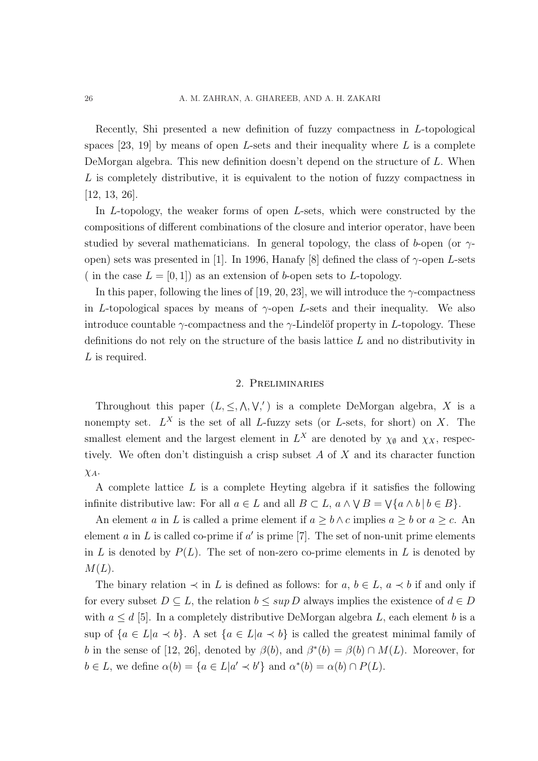Recently, Shi presented a new definition of fuzzy compactness in L-topological spaces [23, 19] by means of open L-sets and their inequality where  $L$  is a complete DeMorgan algebra. This new definition doesn't depend on the structure of L. When L is completely distributive, it is equivalent to the notion of fuzzy compactness in [12, 13, 26].

In L-topology, the weaker forms of open L-sets, which were constructed by the compositions of different combinations of the closure and interior operator, have been studied by several mathematicians. In general topology, the class of b-open (or  $\gamma$ open) sets was presented in [1]. In 1996, Hanafy [8] defined the class of  $\gamma$ -open L-sets ( in the case  $L = [0, 1]$ ) as an extension of b-open sets to L-topology.

In this paper, following the lines of [19, 20, 23], we will introduce the  $\gamma$ -compactness in L-topological spaces by means of  $\gamma$ -open L-sets and their inequality. We also introduce countable  $\gamma$ -compactness and the  $\gamma$ -Lindelöf property in L-topology. These definitions do not rely on the structure of the basis lattice L and no distributivity in L is required.

### 2. Preliminaries

Throughout this paper  $(L, \leq, \wedge, \vee,')$  is a complete DeMorgan algebra, X is a nonempty set.  $L^X$  is the set of all L-fuzzy sets (or L-sets, for short) on X. The smallest element and the largest element in  $L^X$  are denoted by  $\chi_{\emptyset}$  and  $\chi_X$ , respectively. We often don't distinguish a crisp subset  $A$  of  $X$  and its character function  $\chi_A$ .

A complete lattice L is a complete Heyting algebra if it satisfies the following infinite distributive law: For all  $a \in L$  and all  $B \subset L$ ,  $a \wedge \vee B = \vee \{a \wedge b \mid b \in B\}$ .

An element a in L is called a prime element if  $a \geq b \wedge c$  implies  $a \geq b$  or  $a \geq c$ . An element a in L is called co-prime if a' is prime [7]. The set of non-unit prime elements in L is denoted by  $P(L)$ . The set of non-zero co-prime elements in L is denoted by  $M(L)$ .

The binary relation  $\prec$  in L is defined as follows: for a,  $b \in L$ ,  $a \prec b$  if and only if for every subset  $D \subseteq L$ , the relation  $b \leq \sup D$  always implies the existence of  $d \in D$ with  $a \leq d$  [5]. In a completely distributive DeMorgan algebra L, each element b is a sup of  ${a \in L | a \prec b}$ . A set  ${a \in L | a \prec b}$  is called the greatest minimal family of b in the sense of [12, 26], denoted by  $\beta(b)$ , and  $\beta^*(b) = \beta(b) \cap M(L)$ . Moreover, for  $b \in L$ , we define  $\alpha(b) = \{a \in L | a' \prec b'\}$  and  $\alpha^*(b) = \alpha(b) \cap P(L)$ .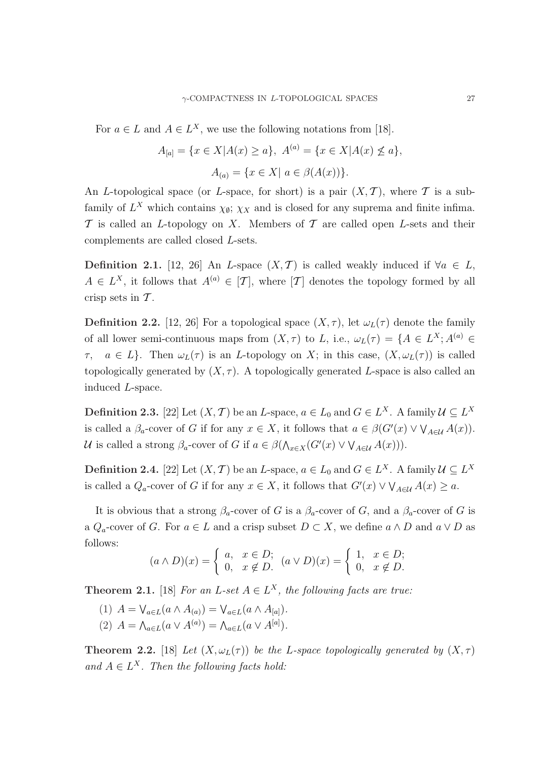For  $a \in L$  and  $A \in L^X$ , we use the following notations from [18].

$$
A_{[a]} = \{x \in X | A(x) \ge a\}, \ A^{(a)} = \{x \in X | A(x) \not\le a\},\
$$

$$
A_{(a)} = \{x \in X | a \in \beta(A(x))\}.
$$

An L-topological space (or L-space, for short) is a pair  $(X, \mathcal{T})$ , where  $\mathcal T$  is a subfamily of  $L^X$  which contains  $\chi_{\emptyset}$ ;  $\chi_X$  and is closed for any suprema and finite infima.  $\mathcal T$  is called an *L*-topology on *X*. Members of  $\mathcal T$  are called open *L*-sets and their complements are called closed L-sets.

Definition 2.1. [12, 26] An L-space  $(X, \mathcal{T})$  is called weakly induced if  $\forall a \in L$ ,  $A \in L^X$ , it follows that  $A^{(a)} \in [T]$ , where  $[T]$  denotes the topology formed by all crisp sets in  $\mathcal T$ .

**Definition 2.2.** [12, 26] For a topological space  $(X, \tau)$ , let  $\omega_L(\tau)$  denote the family of all lower semi-continuous maps from  $(X, \tau)$  to L, i.e.,  $\omega_L(\tau) = \{A \in L^X; A^{(a)} \in$  $\tau$ ,  $a \in L$ . Then  $\omega_L(\tau)$  is an *L*-topology on *X*; in this case,  $(X, \omega_L(\tau))$  is called topologically generated by  $(X, \tau)$ . A topologically generated L-space is also called an induced L-space.

**Definition 2.3.** [22] Let  $(X, \mathcal{T})$  be an L-space,  $a \in L_0$  and  $G \in L^X$ . A family  $\mathcal{U} \subseteq L^X$ is called a  $\beta_a$ -cover of G if for any  $x \in X$ , it follows that  $a \in \beta(G'(x) \vee \bigvee_{A \in \mathcal{U}} A(x)).$ U is called a strong  $\beta_a$ -cover of G if  $a \in \beta(\Lambda_{x \in X}(G'(x) \vee \vee_{A \in U} A(x)))$ .

**Definition 2.4.** [22] Let  $(X, \mathcal{T})$  be an L-space,  $a \in L_0$  and  $G \in L^X$ . A family  $\mathcal{U} \subseteq L^X$ is called a  $Q_a$ -cover of G if for any  $x \in X$ , it follows that  $G'(x) \vee \bigvee_{A \in \mathcal{U}} A(x) \ge a$ .

It is obvious that a strong  $\beta_a$ -cover of G is a  $\beta_a$ -cover of G, and a  $\beta_a$ -cover of G is a  $Q_a$ -cover of G. For  $a \in L$  and a crisp subset  $D \subset X$ , we define  $a \wedge D$  and  $a \vee D$  as follows:

$$
(a \wedge D)(x) = \begin{cases} a, & x \in D; \\ 0, & x \notin D. \end{cases} (a \vee D)(x) = \begin{cases} 1, & x \in D; \\ 0, & x \notin D. \end{cases}
$$

**Theorem 2.1.** [18] For an L-set  $A \in L^X$ , the following facts are true:

(1)  $A = \bigvee_{a \in L} (a \wedge A_{(a)}) = \bigvee_{a \in L} (a \wedge A_{[a]})$ . (2)  $A = \bigwedge_{a \in L} (a \vee A^{(a)}) = \bigwedge_{a \in L} (a \vee A^{[a]})$ .

**Theorem 2.2.** [18] Let  $(X, \omega_L(\tau))$  be the L-space topologically generated by  $(X, \tau)$ and  $A \in L^X$ . Then the following facts hold: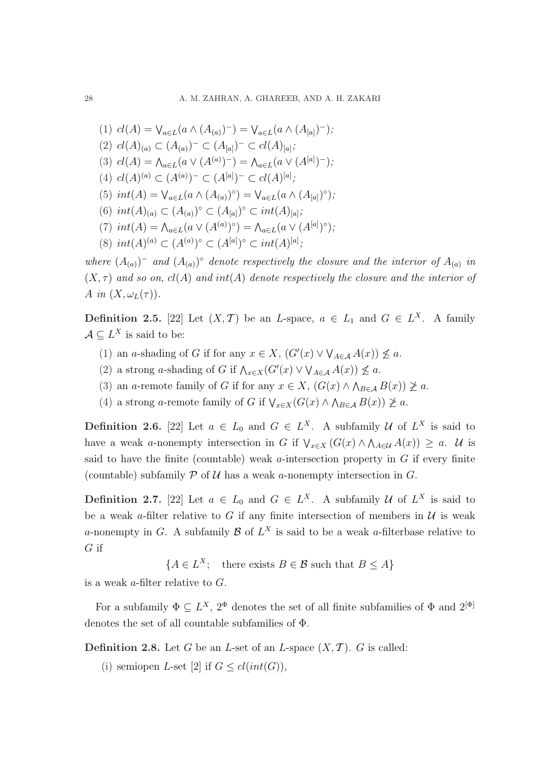(1)  $cl(A) = \bigvee_{a \in L} (a \wedge (A_{(a)})^{-}) = \bigvee_{a \in L} (a \wedge (A_{[a]})^{-})$ ; (2)  $cl(A)_{(a)} \subset (A_{(a)})^- \subset (A_{[a]})^- \subset cl(A)_{[a]};$ (3)  $cl(A) = \bigwedge_{a \in L} (a \vee (A^{(a)})^{-}) = \bigwedge_{a \in L} (a \vee (A^{[a]})^{-})$ ; (4)  $cl(A)^{(a)} \subset (A^{(a)})^- \subset (A^{[a]})^- \subset cl(A)^{[a]};$ (5)  $int(A) = \bigvee_{a \in L} (a \wedge (A_{(a)})^{\circ}) = \bigvee_{a \in L} (a \wedge (A_{[a]})^{\circ})$ ; (6)  $int(A)_{(a)} \subset (A_{(a)})^{\circ} \subset (A_{[a]})^{\circ} \subset int(A)_{[a]};$ (7)  $int(A) = \Lambda_{a \in L}(a \vee (A^{(a)})^{\circ}) = \Lambda_{a \in L}(a \vee (A^{[a]})^{\circ})$ ; (8)  $int(A)^{(a)} \subset (A^{(a)})^{\circ} \subset (A^{[a]})^{\circ} \subset int(A)^{[a]};$ 

where  $(A_{(a)})^-$  and  $(A_{(a)})^{\circ}$  denote respectively the closure and the interior of  $A_{(a)}$  in  $(X, \tau)$  and so on,  $cl(A)$  and  $int(A)$  denote respectively the closure and the interior of A in  $(X, \omega_L(\tau))$ .

**Definition 2.5.** [22] Let  $(X, \mathcal{T})$  be an L-space,  $a \in L_1$  and  $G \in L^X$ . A family  $A \subseteq L^X$  is said to be:

- (1) an a-shading of G if for any  $x \in X$ ,  $(G'(x) \vee \bigvee_{A \in \mathcal{A}} A(x)) \nleq a$ .
- (2) a strong a-shading of G if  $\bigwedge_{x \in X} (G'(x) \vee \bigvee_{A \in \mathcal{A}} A(x)) \nleq a$ .
- (3) an a-remote family of G if for any  $x \in X$ ,  $(G(x) \wedge \bigwedge_{B \in A} B(x)) \not\ge a$ .
- (4) a strong a-remote family of G if  $\bigvee_{x \in X} (G(x) \wedge \bigwedge_{B \in A} B(x)) \not\geq a$ .

**Definition 2.6.** [22] Let  $a \in L_0$  and  $G \in L^X$ . A subfamily U of  $L^X$  is said to have a weak a-nonempty intersection in G if  $\bigvee_{x\in X} (G(x) \wedge \bigwedge_{A\in \mathcal{U}} A(x)) \geq a$ . U is said to have the finite (countable) weak  $a$ -intersection property in  $G$  if every finite (countable) subfamily  $P$  of  $U$  has a weak a-nonempty intersection in  $G$ .

**Definition 2.7.** [22] Let  $a \in L_0$  and  $G \in L^X$ . A subfamily U of  $L^X$  is said to be a weak a-filter relative to G if any finite intersection of members in  $U$  is weak a-nonempty in G. A subfamily  $\mathcal{B}$  of  $L^X$  is said to be a weak a-filterbase relative to G if

 ${A \in L^X; \text{ there exists } B \in \mathcal{B} \text{ such that } B \leq A}$ 

is a weak  $a$ -filter relative to  $G$ .

For a subfamily  $\Phi \subseteq L^X$ ,  $2^{\Phi}$  denotes the set of all finite subfamilies of  $\Phi$  and  $2^{[\Phi]}$ denotes the set of all countable subfamilies of Φ.

**Definition 2.8.** Let G be an L-set of an L-space  $(X, \mathcal{T})$ . G is called:

(i) semiopen L-set [2] if  $G \leq cl(int(G)),$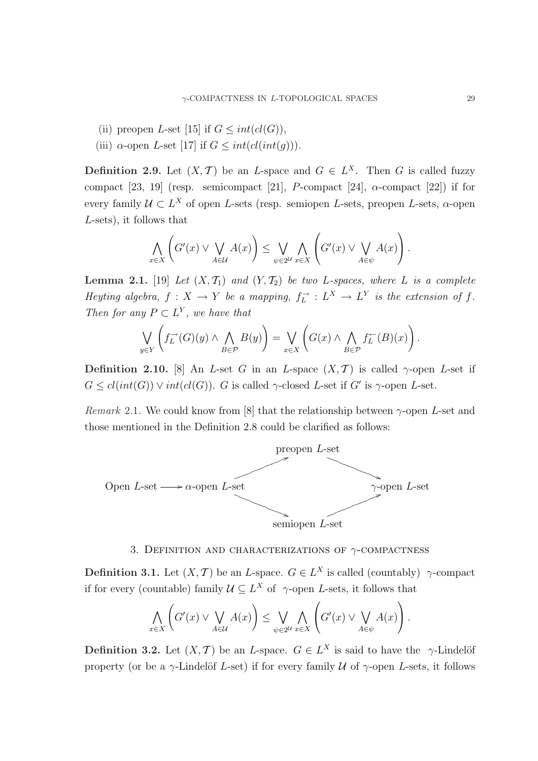- (ii) preopen L-set [15] if  $G \leq int(cl(G)),$
- (iii)  $\alpha$ -open L-set [17] if  $G \leq int(cl(int(q)))$ .

**Definition 2.9.** Let  $(X, \mathcal{T})$  be an L-space and  $G \in L^X$ . Then G is called fuzzy compact [23, 19] (resp. semicompact [21], *P*-compact [24],  $\alpha$ -compact [22]) if for every family  $\mathcal{U} \subset L^X$  of open L-sets (resp. semiopen L-sets, preopen L-sets,  $\alpha$ -open L-sets), it follows that

$$
\bigwedge_{x \in X} \left( G'(x) \vee \bigvee_{A \in \mathcal{U}} A(x) \right) \leq \bigvee_{\psi \in 2^{\mathcal{U}}} \bigwedge_{x \in X} \left( G'(x) \vee \bigvee_{A \in \psi} A(x) \right).
$$

**Lemma 2.1.** [19] Let  $(X, \mathcal{T}_1)$  and  $(Y, \mathcal{T}_2)$  be two L-spaces, where L is a complete Heyting algebra,  $f: X \to Y$  be a mapping,  $f_L^- : L^X \to L^Y$  is the extension of f. Then for any  $P \subset L^Y$ , we have that

$$
\bigvee_{y \in Y} \left( f_L^{\rightarrow}(G)(y) \wedge \bigwedge_{B \in \mathcal{P}} B(y) \right) = \bigvee_{x \in X} \left( G(x) \wedge \bigwedge_{B \in \mathcal{P}} f_L^{\leftarrow}(B)(x) \right).
$$

Definition 2.10. [8] An L-set G in an L-space  $(X, \mathcal{T})$  is called  $\gamma$ -open L-set if  $G \leq cl(int(G)) \vee int(cl(G))$ . G is called  $\gamma$ -closed L-set if G' is  $\gamma$ -open L-set.

Remark 2.1. We could know from [8] that the relationship between  $\gamma$ -open L-set and those mentioned in the Definition 2.8 could be clarified as follows:



# 3. DEFINITION AND CHARACTERIZATIONS OF  $\gamma$ -COMPACTNESS

**Definition 3.1.** Let  $(X, \mathcal{T})$  be an *L*-space.  $G \in L^X$  is called (countably)  $\gamma$ -compact if for every (countable) family  $\mathcal{U} \subseteq L^X$  of  $\gamma$ -open L-sets, it follows that

$$
\bigwedge_{x \in X} \left( G'(x) \vee \bigvee_{A \in \mathcal{U}} A(x) \right) \leq \bigvee_{\psi \in 2^{\mathcal{U}}} \bigwedge_{x \in X} \left( G'(x) \vee \bigvee_{A \in \psi} A(x) \right).
$$

**Definition 3.2.** Let  $(X, \mathcal{T})$  be an L-space.  $G \in L^X$  is said to have the  $\gamma$ -Lindelöf property (or be a  $\gamma$ -Lindelöf L-set) if for every family U of  $\gamma$ -open L-sets, it follows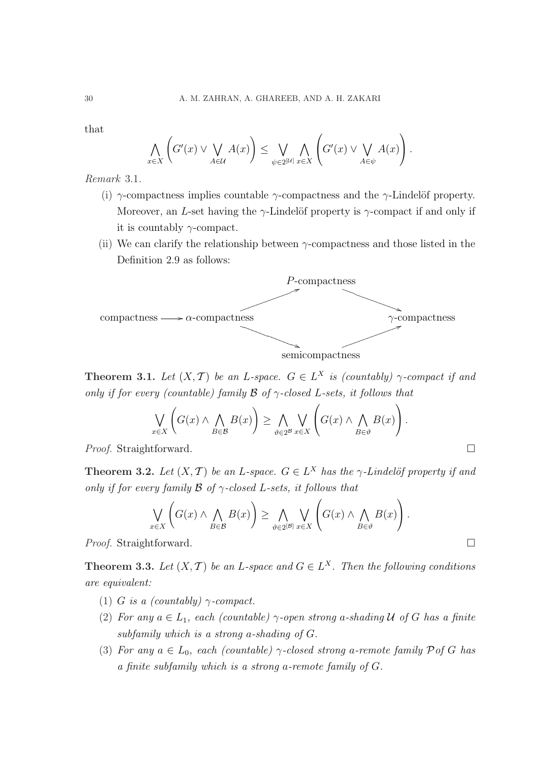that

$$
\bigwedge_{x \in X} \left( G'(x) \vee \bigvee_{A \in \mathcal{U}} A(x) \right) \leq \bigvee_{\psi \in 2^{[\mathcal{U}]} } \bigwedge_{x \in X} \left( G'(x) \vee \bigvee_{A \in \psi} A(x) \right).
$$

Remark 3.1.

- (i)  $\gamma$ -compactness implies countable  $\gamma$ -compactness and the  $\gamma$ -Lindelöf property. Moreover, an L-set having the  $\gamma$ -Lindelöf property is  $\gamma$ -compact if and only if it is countably  $\gamma$ -compact.
- (ii) We can clarify the relationship between γ-compactness and those listed in the Definition 2.9 as follows:



semicompactness

**Theorem 3.1.** Let  $(X, \mathcal{T})$  be an L-space.  $G \in L^X$  is (countably)  $\gamma$ -compact if and only if for every (countable) family  $\beta$  of  $\gamma$ -closed L-sets, it follows that

$$
\bigvee_{x \in X} \left( G(x) \land \bigwedge_{B \in \mathcal{B}} B(x) \right) \ge \bigwedge_{\vartheta \in 2^{\mathcal{B}}} \bigvee_{x \in X} \left( G(x) \land \bigwedge_{B \in \vartheta} B(x) \right).
$$

*Proof.* Straightforward.  $\square$ 

**Theorem 3.2.** Let  $(X, \mathcal{T})$  be an L-space.  $G \in L^X$  has the  $\gamma$ -Lindelöf property if and only if for every family  $\beta$  of  $\gamma$ -closed L-sets, it follows that  $\overline{\phantom{a}}$  $\mathbf{r}$ 

$$
\bigvee_{x \in X} \left( G(x) \wedge \bigwedge_{B \in \mathcal{B}} B(x) \right) \ge \bigwedge_{\vartheta \in 2^{|\mathcal{B}|}} \bigvee_{x \in X} \left( G(x) \wedge \bigwedge_{B \in \vartheta} B(x) \right).
$$

*Proof.* Straightforward.  $\Box$ 

**Theorem 3.3.** Let  $(X, \mathcal{T})$  be an L-space and  $G \in L^X$ . Then the following conditions are equivalent:

- (1) G is a (countably)  $\gamma$ -compact.
- (2) For any  $a \in L_1$ , each (countable)  $\gamma$ -open strong a-shading U of G has a finite subfamily which is a strong a-shading of G.
- (3) For any  $a \in L_0$ , each (countable)  $\gamma$ -closed strong a-remote family  $\mathcal{P}$  of G has a finite subfamily which is a strong a-remote family of G.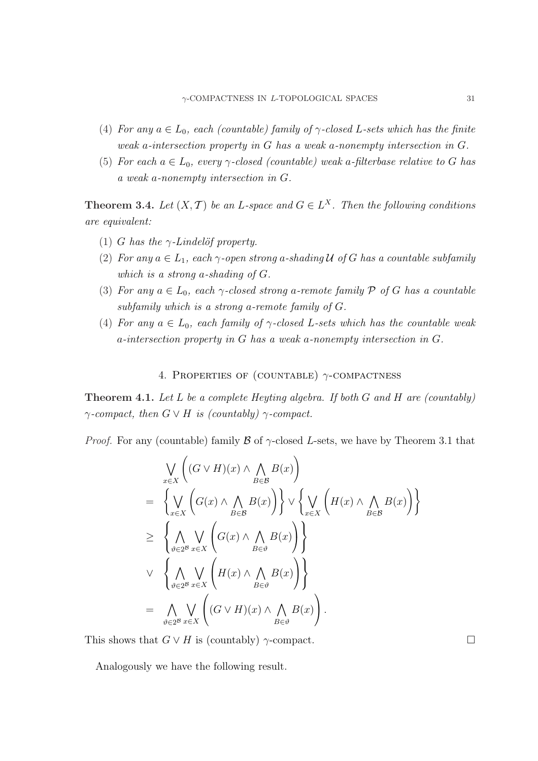- (4) For any  $a \in L_0$ , each (countable) family of  $\gamma$ -closed L-sets which has the finite weak a-intersection property in G has a weak a-nonempty intersection in G.
- (5) For each  $a \in L_0$ , every  $\gamma$ -closed (countable) weak a-filterbase relative to G has a weak a-nonempty intersection in G.

**Theorem 3.4.** Let  $(X, \mathcal{T})$  be an L-space and  $G \in L^X$ . Then the following conditions are equivalent:

- (1) G has the  $\gamma$ -Lindelöf property.
- (2) For any  $a \in L_1$ , each  $\gamma$ -open strong a-shading U of G has a countable subfamily which is a strong a-shading of G.
- (3) For any  $a \in L_0$ , each  $\gamma$ -closed strong a-remote family  $\mathcal P$  of G has a countable subfamily which is a strong a-remote family of G.
- (4) For any  $a \in L_0$ , each family of  $\gamma$ -closed L-sets which has the countable weak a-intersection property in G has a weak a-nonempty intersection in G.

## 4. PROPERTIES OF (COUNTABLE)  $\gamma$ -COMPACTNESS

**Theorem 4.1.** Let L be a complete Heyting algebra. If both G and H are (countably)  $\gamma$ -compact, then  $G \vee H$  is (countably)  $\gamma$ -compact.

*Proof.* For any (countable) family  $\beta$  of  $\gamma$ -closed L-sets, we have by Theorem 3.1 that

$$
\bigvee_{x \in X} \left( (G \vee H)(x) \wedge \bigwedge_{B \in \mathcal{B}} B(x) \right)
$$
\n
$$
= \left\{ \bigvee_{x \in X} \left( G(x) \wedge \bigwedge_{B \in \mathcal{B}} B(x) \right) \right\} \vee \left\{ \bigvee_{x \in X} \left( H(x) \wedge \bigwedge_{B \in \mathcal{B}} B(x) \right) \right\}
$$
\n
$$
\geq \left\{ \bigwedge_{\vartheta \in 2^{\mathcal{B}}} \bigvee_{x \in X} \left( G(x) \wedge \bigwedge_{B \in \vartheta} B(x) \right) \right\}
$$
\n
$$
\vee \left\{ \bigwedge_{\vartheta \in 2^{\mathcal{B}}} \bigvee_{x \in X} \left( H(x) \wedge \bigwedge_{B \in \vartheta} B(x) \right) \right\}
$$
\n
$$
= \bigwedge_{\vartheta \in 2^{\mathcal{B}}} \bigvee_{x \in X} \left( (G \vee H)(x) \wedge \bigwedge_{B \in \vartheta} B(x) \right).
$$

This shows that  $G \vee H$  is (countably)  $\gamma$ -compact.  $\Box$ 

Analogously we have the following result.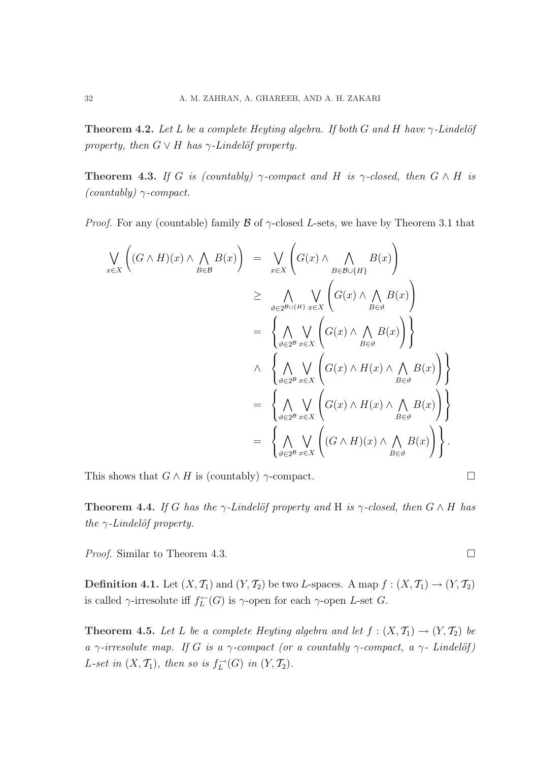**Theorem 4.2.** Let L be a complete Heyting algebra. If both G and H have  $\gamma$ -Lindelöf property, then  $G \vee H$  has  $\gamma$ -Lindelöf property.

**Theorem 4.3.** If G is (countably)  $\gamma$ -compact and H is  $\gamma$ -closed, then  $G \wedge H$  is  $(countably) \gamma$ -compact.

*Proof.* For any (countable) family  $\beta$  of  $\gamma$ -closed L-sets, we have by Theorem 3.1 that

$$
\bigvee_{x \in X} \left( (G \wedge H)(x) \wedge \bigwedge_{B \in \mathcal{B}} B(x) \right) = \bigvee_{x \in X} \left( G(x) \wedge \bigwedge_{B \in \mathcal{B} \cup \{H\}} B(x) \right)
$$
\n
$$
\geq \bigwedge_{\vartheta \in 2^{\mathcal{B} \cup \{H\}} x \in X} \bigvee_{x \in X} \left( G(x) \wedge \bigwedge_{B \in \vartheta} B(x) \right)
$$
\n
$$
= \left\{ \bigwedge_{\vartheta \in 2^{\mathcal{B}}} \bigvee_{x \in X} \left( G(x) \wedge \bigwedge_{B \in \vartheta} B(x) \right) \right\}
$$
\n
$$
\wedge \left\{ \bigwedge_{\vartheta \in 2^{\mathcal{B}}} \bigvee_{x \in X} \left( G(x) \wedge H(x) \wedge \bigwedge_{B \in \vartheta} B(x) \right) \right\}
$$
\n
$$
= \left\{ \bigwedge_{\vartheta \in 2^{\mathcal{B}}} \bigvee_{x \in X} \left( G(x) \wedge H(x) \wedge \bigwedge_{B \in \vartheta} B(x) \right) \right\}
$$
\n
$$
= \left\{ \bigwedge_{\vartheta \in 2^{\mathcal{B}}} \bigvee_{x \in X} \left( (G \wedge H)(x) \wedge \bigwedge_{B \in \vartheta} B(x) \right) \right\}.
$$

This shows that  $G \wedge H$  is (countably)  $\gamma$ -compact.  $\Box$ 

**Theorem 4.4.** If G has the  $\gamma$ -Lindelöf property and H is  $\gamma$ -closed, then  $G \wedge H$  has the  $\gamma$ -Lindelöf property.

*Proof.* Similar to Theorem 4.3.  $\Box$ 

**Definition 4.1.** Let  $(X, \mathcal{T}_1)$  and  $(Y, \mathcal{T}_2)$  be two L-spaces. A map  $f : (X, \mathcal{T}_1) \to (Y, \mathcal{T}_2)$ is called  $\gamma$ -irresolute iff  $f_L^{\leftarrow}(G)$  is  $\gamma$ -open for each  $\gamma$ -open L-set G.

**Theorem 4.5.** Let L be a complete Heyting algebra and let  $f : (X, \mathcal{T}_1) \to (Y, \mathcal{T}_2)$  be a  $\gamma$ -irresolute map. If G is a  $\gamma$ -compact (or a countably  $\gamma$ -compact, a  $\gamma$ - Lindelöf) L-set in  $(X, \mathcal{T}_1)$ , then so is  $f_L^{\rightarrow}(G)$  in  $(Y, \mathcal{T}_2)$ .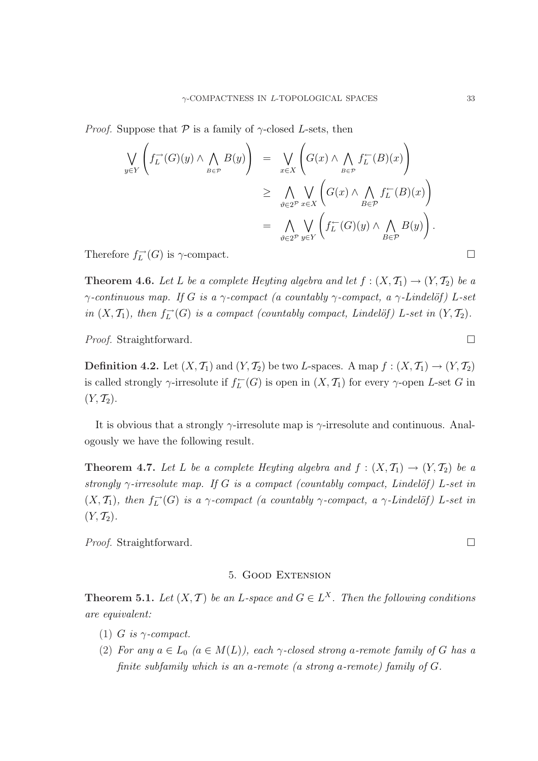*Proof.* Suppose that  $P$  is a family of  $\gamma$ -closed L-sets, then

$$
\bigvee_{y \in Y} \left( f_L^{\rightarrow}(G)(y) \wedge \bigwedge_{B \in \mathcal{P}} B(y) \right) = \bigvee_{x \in X} \left( G(x) \wedge \bigwedge_{B \in \mathcal{P}} f_L^{\leftarrow}(B)(x) \right)
$$
  
\n
$$
\geq \bigwedge_{\vartheta \in 2^{\mathcal{P}}} \bigvee_{x \in X} \left( G(x) \wedge \bigwedge_{B \in \mathcal{P}} f_L^{\leftarrow}(B)(x) \right)
$$
  
\n
$$
= \bigwedge_{\vartheta \in 2^{\mathcal{P}}} \bigvee_{y \in Y} \left( f_L^{\leftarrow}(G)(y) \wedge \bigwedge_{B \in \mathcal{P}} B(y) \right).
$$

Therefore  $f_L^{\rightarrow}(G)$  is  $\gamma$ -compact.

**Theorem 4.6.** Let L be a complete Heyting algebra and let  $f : (X, \mathcal{T}_1) \to (Y, \mathcal{T}_2)$  be a  $\gamma$ -continuous map. If G is a  $\gamma$ -compact (a countably  $\gamma$ -compact, a  $\gamma$ -Lindelöf) L-set in  $(X, \mathcal{T}_1)$ , then  $f_L^{\rightarrow}(G)$  is a compact (countably compact, Lindelöf) L-set in  $(Y, \mathcal{T}_2)$ .

*Proof.* Straightforward.  $\Box$ 

**Definition 4.2.** Let  $(X, \mathcal{T}_1)$  and  $(Y, \mathcal{T}_2)$  be two L-spaces. A map  $f : (X, \mathcal{T}_1) \to (Y, \mathcal{T}_2)$ is called strongly  $\gamma$ -irresolute if  $f_L^{\leftarrow}(G)$  is open in  $(X, \mathcal{T}_1)$  for every  $\gamma$ -open L-set G in  $(Y, \mathcal{T}_2).$ 

It is obvious that a strongly  $\gamma$ -irresolute map is  $\gamma$ -irresolute and continuous. Analogously we have the following result.

**Theorem 4.7.** Let L be a complete Heyting algebra and  $f : (X, \mathcal{T}_1) \to (Y, \mathcal{T}_2)$  be a strongly  $\gamma$ -irresolute map. If G is a compact (countably compact, Lindelöf) L-set in  $(X, \mathcal{T}_1)$ , then  $f_L^{\rightarrow}(G)$  is a  $\gamma$ -compact (a countably  $\gamma$ -compact, a  $\gamma$ -Lindelöf) L-set in  $(Y, \mathcal{T}_2).$ 

*Proof.* Straightforward.  $\Box$ 

### 5. Good Extension

**Theorem 5.1.** Let  $(X, \mathcal{T})$  be an L-space and  $G \in L^X$ . Then the following conditions are equivalent:

- (1) G is  $\gamma$ -compact.
- (2) For any  $a \in L_0$   $(a \in M(L))$ , each  $\gamma$ -closed strong a-remote family of G has a finite subfamily which is an a-remote (a strong a-remote) family of G.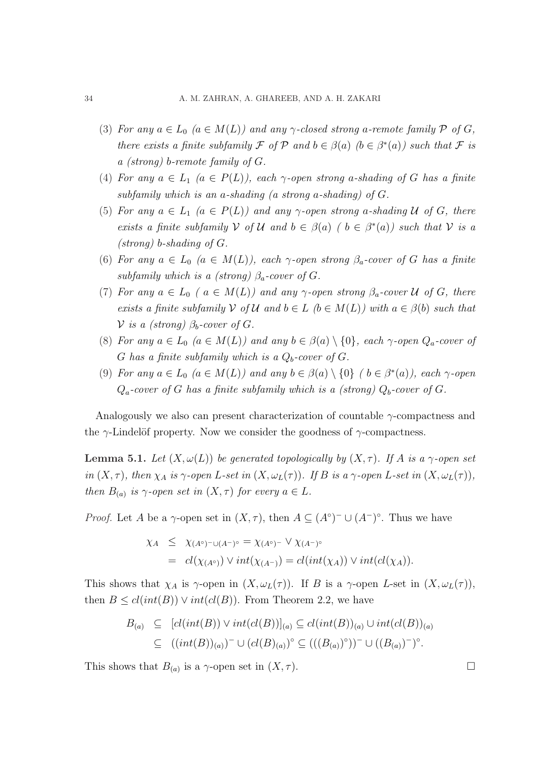- (3) For any  $a \in L_0$   $(a \in M(L))$  and any  $\gamma$ -closed strong a-remote family  $\mathcal P$  of  $G$ , there exists a finite subfamily F of P and  $b \in \beta(a)$   $(b \in \beta^*(a))$  such that F is a (strong) b-remote family of G.
- (4) For any  $a \in L_1$   $(a \in P(L))$ , each  $\gamma$ -open strong a-shading of G has a finite subfamily which is an a-shading (a strong a-shading) of  $G$ .
- (5) For any  $a \in L_1$   $(a \in P(L))$  and any  $\gamma$ -open strong a-shading U of G, there exists a finite subfamily V of U and  $b \in \beta(a)$  (  $b \in \beta^*(a)$ ) such that V is a (strong) b-shading of G.
- (6) For any  $a \in L_0$   $(a \in M(L))$ , each  $\gamma$ -open strong  $\beta_a$ -cover of G has a finite subfamily which is a (strong)  $\beta_a$ -cover of G.
- (7) For any  $a \in L_0$  (  $a \in M(L)$ ) and any  $\gamma$ -open strong  $\beta_a$ -cover U of G, there exists a finite subfamily V of U and  $b \in L$  ( $b \in M(L)$ ) with  $a \in \beta(b)$  such that V is a (strong)  $\beta_b$ -cover of G.
- (8) For any  $a \in L_0$   $(a \in M(L))$  and any  $b \in \beta(a) \setminus \{0\}$ , each  $\gamma$ -open  $Q_a$ -cover of G has a finite subfamily which is a  $Q_b$ -cover of G.
- (9) For any  $a \in L_0$   $(a \in M(L))$  and any  $b \in \beta(a) \setminus \{0\}$   $(b \in \beta^*(a))$ , each  $\gamma$ -open  $Q_a$ -cover of G has a finite subfamily which is a (strong)  $Q_b$ -cover of G.

Analogously we also can present characterization of countable  $\gamma$ -compactness and the  $\gamma$ -Lindelöf property. Now we consider the goodness of  $\gamma$ -compactness.

**Lemma 5.1.** Let  $(X, \omega(L))$  be generated topologically by  $(X, \tau)$ . If A is a  $\gamma$ -open set in  $(X, \tau)$ , then  $\chi_A$  is  $\gamma$ -open L-set in  $(X, \omega_L(\tau))$ . If B is a  $\gamma$ -open L-set in  $(X, \omega_L(\tau))$ , then  $B_{(a)}$  is  $\gamma$ -open set in  $(X, \tau)$  for every  $a \in L$ .

*Proof.* Let A be a  $\gamma$ -open set in  $(X, \tau)$ , then  $A \subseteq (A^{\circ})^{-} \cup (A^{-})^{\circ}$ . Thus we have

$$
\chi_A \leq \chi_{(A^{\circ})^{-} \cup (A^{-})^{\circ}} = \chi_{(A^{\circ})^{-}} \vee \chi_{(A^{-})^{\circ}}
$$
  
= 
$$
cl(\chi_{(A^{\circ})}) \vee int(\chi_{(A^{-})}) = cl(int(\chi_A)) \vee int(cl(\chi_A)).
$$

This shows that  $\chi_A$  is  $\gamma$ -open in  $(X, \omega_L(\tau))$ . If B is a  $\gamma$ -open L-set in  $(X, \omega_L(\tau))$ , then  $B \leq cl(int(B)) \vee int(cl(B))$ . From Theorem 2.2, we have

$$
B_{(a)} \subseteq [cl(int(B)) \vee int(cl(B))]_{(a)} \subseteq cl(int(B))_{(a)} \cup int(cl(B))_{(a)}
$$
  

$$
\subseteq ((int(B))_{(a)})^{-} \cup (cl(B)_{(a)})^{\circ} \subseteq (((B_{(a)})^{\circ}))^{-} \cup ((B_{(a)})^{-})^{\circ}.
$$

This shows that  $B_{(a)}$  is a  $\gamma$ -open set in  $(X, \tau)$ .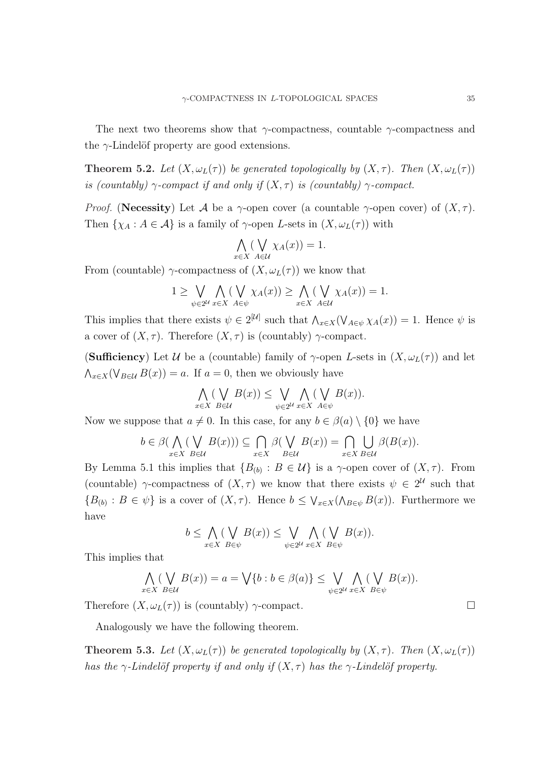The next two theorems show that  $\gamma$ -compactness, countable  $\gamma$ -compactness and the  $\gamma$ -Lindelöf property are good extensions.

**Theorem 5.2.** Let  $(X, \omega_L(\tau))$  be generated topologically by  $(X, \tau)$ . Then  $(X, \omega_L(\tau))$ is (countably)  $\gamma$ -compact if and only if  $(X, \tau)$  is (countably)  $\gamma$ -compact.

*Proof.* (Necessity) Let A be a  $\gamma$ -open cover (a countable  $\gamma$ -open cover) of  $(X, \tau)$ . Then  $\{\chi_A : A \in \mathcal{A}\}\$ is a family of  $\gamma$ -open L-sets in  $(X, \omega_L(\tau))$  with

$$
\bigwedge_{x \in X} (\bigvee_{A \in \mathcal{U}} \chi_A(x)) = 1.
$$

From (countable)  $\gamma$ -compactness of  $(X, \omega_L(\tau))$  we know that

$$
1 \geq \bigvee_{\psi \in 2^{\mathcal{U}}} \bigwedge_{x \in X} (\bigvee_{A \in \psi} \chi_A(x)) \geq \bigwedge_{x \in X} (\bigvee_{A \in \mathcal{U}} \chi_A(x)) = 1.
$$

This implies that there exists  $\psi \in 2^{[\mathcal{U}]}$  such that  $\bigwedge_{x \in X} (\bigvee_{A \in \psi} \chi_A(x)) = 1$ . Hence  $\psi$  is a cover of  $(X, \tau)$ . Therefore  $(X, \tau)$  is (countably)  $\gamma$ -compact.

(Sufficiency) Let U be a (countable) family of  $\gamma$ -open L-sets in  $(X,\omega_L(\tau))$  and let  $\bigwedge_{x\in X}(\bigvee_{B\in\mathcal{U}}B(x))=a.$  If  $a=0$ , then we obviously have

$$
\bigwedge_{x \in X} (\bigvee_{B \in \mathcal{U}} B(x)) \leq \bigvee_{\psi \in 2^{\mathcal{U}}} \bigwedge_{x \in X} (\bigvee_{A \in \psi} B(x)).
$$

Now we suppose that  $a \neq 0$ . In this case, for any  $b \in \beta(a) \setminus \{0\}$  we have

$$
b \in \beta(\bigwedge_{x \in X} (\bigvee_{B \in \mathcal{U}} B(x))) \subseteq \bigcap_{x \in X} \beta(\bigvee_{B \in \mathcal{U}} B(x)) = \bigcap_{x \in X} \bigcup_{B \in \mathcal{U}} \beta(B(x)).
$$

By Lemma 5.1 this implies that  $\{B_{(b)} : B \in \mathcal{U}\}\$ is a  $\gamma$ -open cover of  $(X, \tau)$ . From (countable)  $\gamma$ -compactness of  $(X, \tau)$  we know that there exists  $\psi \in 2^{\mathcal{U}}$  such that  ${B_{(b)}: B \in \psi}$  is a cover of  $(X, \tau)$ . Hence  $b \leq \bigvee_{x \in X} (\bigwedge_{B \in \psi} B(x))$ . Furthermore we have

$$
b \leq \bigwedge_{x \in X} (\bigvee_{B \in \psi} B(x)) \leq \bigvee_{\psi \in 2^{\mathcal{U}}} \bigwedge_{x \in X} (\bigvee_{B \in \psi} B(x)).
$$

This implies that

$$
\bigwedge_{x \in X} (\bigvee_{B \in \mathcal{U}} B(x)) = a = \bigvee \{b : b \in \beta(a)\} \le \bigvee_{\psi \in 2^{\mathcal{U}}} \bigwedge_{x \in X} (\bigvee_{B \in \psi} B(x)).
$$

Therefore  $(X, \omega_L(\tau))$  is (countably)  $\gamma$ -compact.  $\Box$ 

Analogously we have the following theorem.

**Theorem 5.3.** Let  $(X, \omega_L(\tau))$  be generated topologically by  $(X, \tau)$ . Then  $(X, \omega_L(\tau))$ has the  $\gamma$ -Lindelöf property if and only if  $(X, \tau)$  has the  $\gamma$ -Lindelöf property.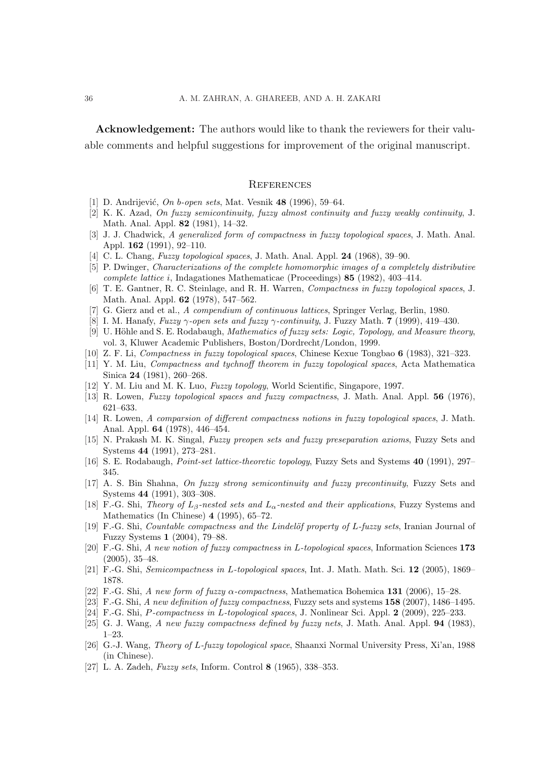Acknowledgement: The authors would like to thank the reviewers for their valuable comments and helpful suggestions for improvement of the original manuscript.

#### **REFERENCES**

- [1] D. Andrijević, On b-open sets, Mat. Vesnik 48 (1996), 59–64.
- [2] K. K. Azad, On fuzzy semicontinuity, fuzzy almost continuity and fuzzy weakly continuity, J. Math. Anal. Appl. 82 (1981), 14–32.
- [3] J. J. Chadwick, A generalized form of compactness in fuzzy topological spaces, J. Math. Anal. Appl. 162 (1991), 92–110.
- [4] C. L. Chang, *Fuzzy topological spaces*, J. Math. Anal. Appl. **24** (1968), 39–90.
- [5] P. Dwinger, Characterizations of the complete homomorphic images of a completely distributive complete lattice i, Indagationes Mathematicae (Proceedings) 85 (1982), 403–414.
- [6] T. E. Gantner, R. C. Steinlage, and R. H. Warren, Compactness in fuzzy topological spaces, J. Math. Anal. Appl. 62 (1978), 547–562.
- [7] G. Gierz and et al., A compendium of continuous lattices, Springer Verlag, Berlin, 1980.
- [8] I. M. Hanafy, Fuzzy  $\gamma$ -open sets and fuzzy  $\gamma$ -continuity, J. Fuzzy Math. 7 (1999), 419–430.
- [9] U. Höhle and S. E. Rodabaugh, *Mathematics of fuzzy sets: Logic, Topology, and Measure theory*, vol. 3, Kluwer Academic Publishers, Boston/Dordrecht/London, 1999.
- [10] Z. F. Li, Compactness in fuzzy topological spaces, Chinese Kexue Tongbao 6 (1983), 321–323.
- [11] Y. M. Liu, Compactness and tychnoff theorem in fuzzy topological spaces, Acta Mathematica Sinica 24 (1981), 260–268.
- [12] Y. M. Liu and M. K. Luo, *Fuzzy topology*, World Scientific, Singapore, 1997.
- [13] R. Lowen, Fuzzy topological spaces and fuzzy compactness, J. Math. Anal. Appl. 56 (1976), 621–633.
- [14] R. Lowen, A comparsion of different compactness notions in fuzzy topological spaces, J. Math. Anal. Appl. 64 (1978), 446–454.
- [15] N. Prakash M. K. Singal, Fuzzy preopen sets and fuzzy preseparation axioms, Fuzzy Sets and Systems 44 (1991), 273–281.
- [16] S. E. Rodabaugh, Point-set lattice-theoretic topology, Fuzzy Sets and Systems 40 (1991), 297– 345.
- [17] A. S. Bin Shahna, On fuzzy strong semicontinuity and fuzzy precontinuity, Fuzzy Sets and Systems 44 (1991), 303–308.
- [18] F.-G. Shi, Theory of  $L_8$ -nested sets and  $L_\alpha$ -nested and their applications, Fuzzy Systems and Mathematics (In Chinese) 4 (1995), 65–72.
- [19] F.-G. Shi, *Countable compactness and the Lindelöf property of L-fuzzy sets*, Iranian Journal of Fuzzy Systems 1 (2004), 79–88.
- [20] F.-G. Shi, A new notion of fuzzy compactness in L-topological spaces, Information Sciences 173 (2005), 35–48.
- [21] F.-G. Shi, Semicompactness in L-topological spaces, Int. J. Math. Math. Sci. 12 (2005), 1869– 1878.
- [22] F.-G. Shi, A new form of fuzzy  $\alpha$ -compactness, Mathematica Bohemica 131 (2006), 15–28.
- [23] F.-G. Shi, A new definition of fuzzy compactness, Fuzzy sets and systems  $158$  (2007), 1486–1495.
- [24] F.-G. Shi, P-compactness in L-topological spaces, J. Nonlinear Sci. Appl.  $2$  (2009), 225–233.
- [25] G. J. Wang, A new fuzzy compactness defined by fuzzy nets, J. Math. Anal. Appl. 94 (1983), 1–23.
- [26] G.-J. Wang, Theory of L-fuzzy topological space, Shaanxi Normal University Press, Xi'an, 1988 (in Chinese).
- [27] L. A. Zadeh, Fuzzy sets, Inform. Control 8 (1965), 338–353.